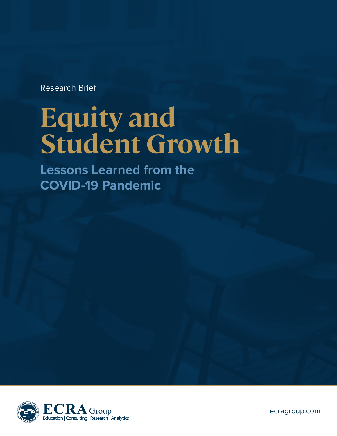Research Brief

# **Equity and Student Growth**

**Lessons Learned from the COVID-19 Pandemic**



ecragroup.com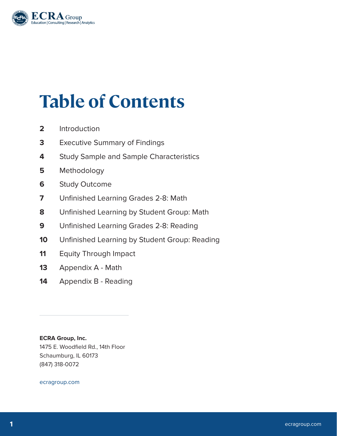

## **Table of Contents**

- Introduction
- Executive Summary of Findings
- Study Sample and Sample Characteristics
- Methodology
- Study Outcome
- Unfinished Learning Grades 2-8: Math
- Unfinished Learning by Student Group: Math
- Unfinished Learning Grades 2-8: Reading
- Unfinished Learning by Student Group: Reading
- Equity Through Impact
- Appendix A Math
- Appendix B Reading

**ECRA Group, Inc.** 1475 E. Woodfield Rd., 14th Floor Schaumburg, IL 60173 (847) 318-0072

ecragroup.com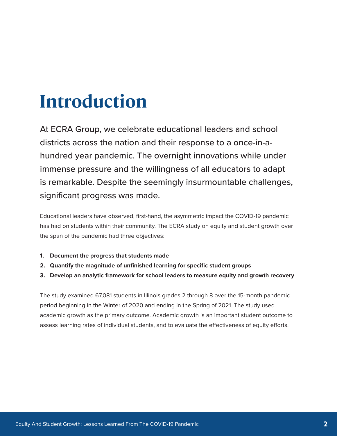## **Introduction**

At ECRA Group, we celebrate educational leaders and school districts across the nation and their response to a once-in-ahundred year pandemic. The overnight innovations while under immense pressure and the willingness of all educators to adapt is remarkable. Despite the seemingly insurmountable challenges, significant progress was made.

Educational leaders have observed, first-hand, the asymmetric impact the COVID-19 pandemic has had on students within their community. The ECRA study on equity and student growth over the span of the pandemic had three objectives:

- **1. Document the progress that students made**
- **2. Quantify the magnitude of unfinished learning for specific student groups**
- **3. Develop an analytic framework for school leaders to measure equity and growth recovery**

The study examined 67,081 students in Illinois grades 2 through 8 over the 15-month pandemic period beginning in the Winter of 2020 and ending in the Spring of 2021. The study used academic growth as the primary outcome. Academic growth is an important student outcome to assess learning rates of individual students, and to evaluate the effectiveness of equity efforts.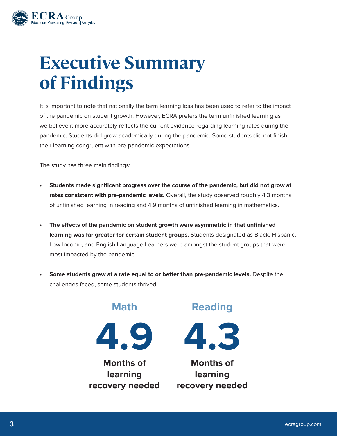

## **Executive Summary of Findings**

It is important to note that nationally the term learning loss has been used to refer to the impact of the pandemic on student growth. However, ECRA prefers the term unfinished learning as we believe it more accurately reflects the current evidence regarding learning rates during the pandemic. Students did grow academically during the pandemic. Some students did not finish their learning congruent with pre-pandemic expectations.

The study has three main findings:

- **• Students made significant progress over the course of the pandemic, but did not grow at rates consistent with pre-pandemic levels.** Overall, the study observed roughly 4.3 months of unfinished learning in reading and 4.9 months of unfinished learning in mathematics.
- **• The effects of the pandemic on student growth were asymmetric in that unfinished learning was far greater for certain student groups.** Students designated as Black, Hispanic, Low-Income, and English Language Learners were amongst the student groups that were most impacted by the pandemic.
- **• Some students grew at a rate equal to or better than pre-pandemic levels.** Despite the challenges faced, some students thrived.

**Months of learning recovery needed Math 4.9**



**Reading**

**Months of learning recovery needed**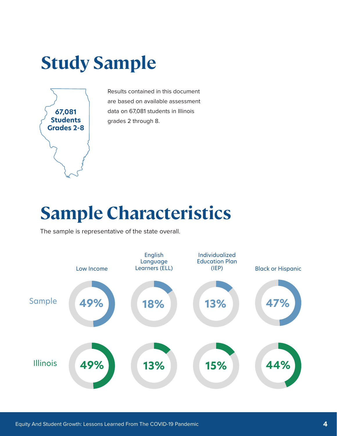## **Study Sample**



Results contained in this document are based on available assessment data on 67,081 students in Illinois grades 2 through 8.

## **Sample Characteristics**

The sample is representative of the state overall.

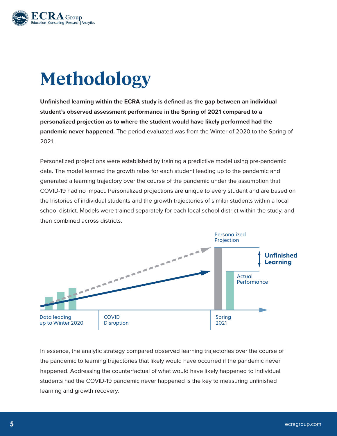

## **Methodology**

**Unfinished learning within the ECRA study is defined as the gap between an individual student's observed assessment performance in the Spring of 2021 compared to a personalized projection as to where the student would have likely performed had the pandemic never happened.** The period evaluated was from the Winter of 2020 to the Spring of 2021.

Personalized projections were established by training a predictive model using pre-pandemic data. The model learned the growth rates for each student leading up to the pandemic and generated a learning trajectory over the course of the pandemic under the assumption that COVID-19 had no impact. Personalized projections are unique to every student and are based on the histories of individual students and the growth trajectories of similar students within a local school district. Models were trained separately for each local school district within the study, and then combined across districts.



In essence, the analytic strategy compared observed learning trajectories over the course of the pandemic to learning trajectories that likely would have occurred if the pandemic never happened. Addressing the counterfactual of what would have likely happened to individual students had the COVID-19 pandemic never happened is the key to measuring unfinished learning and growth recovery.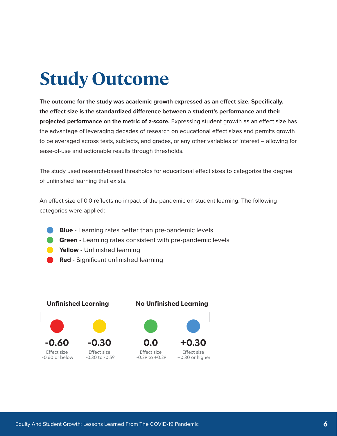## **Study Outcome**

**The outcome for the study was academic growth expressed as an effect size. Specifically, the effect size is the standardized difference between a student's performance and their projected performance on the metric of z-score.** Expressing student growth as an effect size has the advantage of leveraging decades of research on educational effect sizes and permits growth to be averaged across tests, subjects, and grades, or any other variables of interest – allowing for ease-of-use and actionable results through thresholds.

The study used research-based thresholds for educational effect sizes to categorize the degree of unfinished learning that exists.

An effect size of 0.0 reflects no impact of the pandemic on student learning. The following categories were applied:

- **Blue**  Learning rates better than pre-pandemic levels
- **Green** Learning rates consistent with pre-pandemic levels
- **Yellow** Unfinished learning
- **Red** Significant unfinished learning

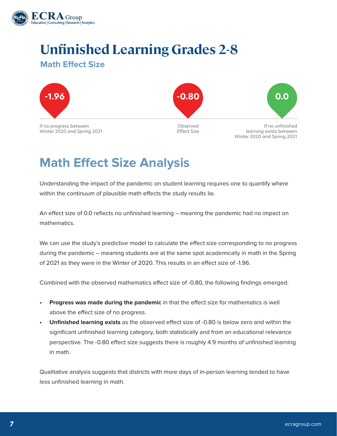

### **Unfinished Learning Grades 2-8**

#### **Math Effect Size**



If no progress between Winter 2020 and Spring 2021



Observed Effect Size



If no unfinished learning exists between Winter 2020 and Spring 2021

### **Math Effect Size Analysis**

Understanding the impact of the pandemic on student learning requires one to quantify where within the continuum of plausible math effects the study results lie.

An effect size of 0.0 reflects no unfinished learning – meaning the pandemic had no impact on mathematics.

We can use the study's predictive model to calculate the effect size corresponding to no progress during the pandemic – meaning students are at the same spot academically in math in the Spring of 2021 as they were in the Winter of 2020. This results in an effect size of -1.96.

Combined with the observed mathematics effect size of -0.80, the following findings emerged:

- **• Progress was made during the pandemic** in that the effect size for mathematics is well above the effect size of no progress.
- **• Unfinished learning exists** as the observed effect size of -0.80 is below zero and within the significant unfinished learning category, both statistically and from an educational relevance perspective. The -0.80 effect size suggests there is roughly 4.9 months of unfinished learning in math.

Qualitative analysis suggests that districts with more days of in-person learning tended to have less unfinished learning in math.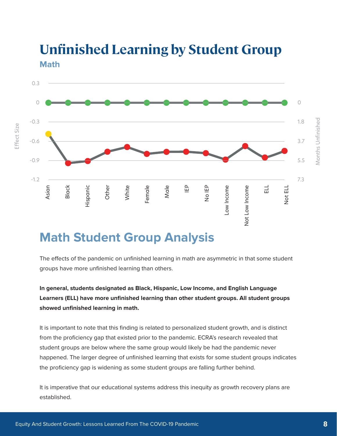

### **Unfinished Learning by Student Group Math**

### **Math Student Group Analysis**

The effects of the pandemic on unfinished learning in math are asymmetric in that some student groups have more unfinished learning than others.

**In general, students designated as Black, Hispanic, Low Income, and English Language Learners (ELL) have more unfinished learning than other student groups. All student groups showed unfinished learning in math.**

It is important to note that this finding is related to personalized student growth, and is distinct from the proficiency gap that existed prior to the pandemic. ECRA's research revealed that student groups are below where the same group would likely be had the pandemic never happened. The larger degree of unfinished learning that exists for some student groups indicates the proficiency gap is widening as some student groups are falling further behind.

It is imperative that our educational systems address this inequity as growth recovery plans are established.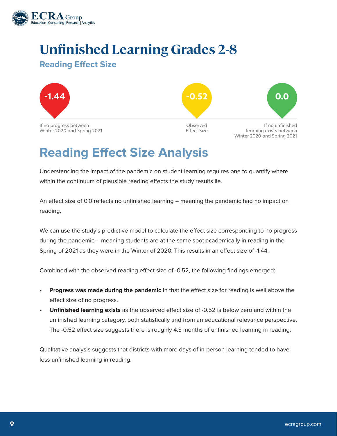

### **Unfinished Learning Grades 2-8**

#### **Reading Effect Size**



### **Reading Effect Size Analysis**

Understanding the impact of the pandemic on student learning requires one to quantify where within the continuum of plausible reading effects the study results lie.

An effect size of 0.0 reflects no unfinished learning – meaning the pandemic had no impact on reading.

We can use the study's predictive model to calculate the effect size corresponding to no progress during the pandemic – meaning students are at the same spot academically in reading in the Spring of 2021 as they were in the Winter of 2020. This results in an effect size of -1.44.

Combined with the observed reading effect size of -0.52, the following findings emerged:

- **• Progress was made during the pandemic** in that the effect size for reading is well above the effect size of no progress.
- **• Unfinished learning exists** as the observed effect size of -0.52 is below zero and within the unfinished learning category, both statistically and from an educational relevance perspective. The -0.52 effect size suggests there is roughly 4.3 months of unfinished learning in reading.

Qualitative analysis suggests that districts with more days of in-person learning tended to have less unfinished learning in reading.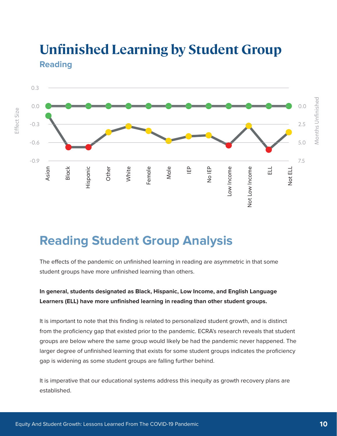

### **Unfinished Learning by Student Group Reading**

### **Reading Student Group Analysis**

The effects of the pandemic on unfinished learning in reading are asymmetric in that some student groups have more unfinished learning than others.

#### **In general, students designated as Black, Hispanic, Low Income, and English Language Learners (ELL) have more unfinished learning in reading than other student groups.**

It is important to note that this finding is related to personalized student growth, and is distinct from the proficiency gap that existed prior to the pandemic. ECRA's research reveals that student groups are below where the same group would likely be had the pandemic never happened. The larger degree of unfinished learning that exists for some student groups indicates the proficiency gap is widening as some student groups are falling further behind.

It is imperative that our educational systems address this inequity as growth recovery plans are established.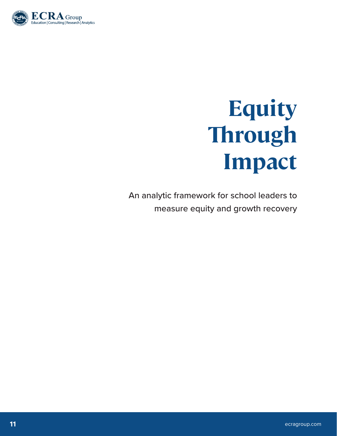

# **Equity Through Impact**

An analytic framework for school leaders to measure equity and growth recovery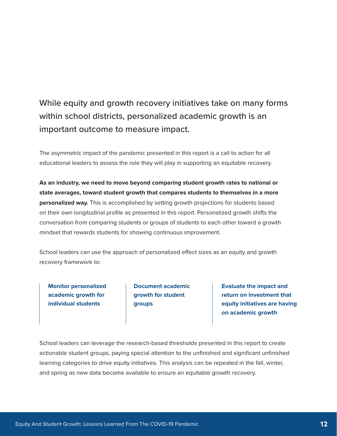### While equity and growth recovery initiatives take on many forms within school districts, personalized academic growth is an important outcome to measure impact.

The asymmetric impact of the pandemic presented in this report is a call to action for all educational leaders to assess the role they will play in supporting an equitable recovery.

**As an industry, we need to move beyond comparing student growth rates to national or state averages, toward student growth that compares students to themselves in a more personalized way.** This is accomplished by setting growth projections for students based on their own longitudinal profile as presented in this report. Personalized growth shifts the conversation from comparing students or groups of students to each other toward a growth mindset that rewards students for showing continuous improvement.

School leaders can use the approach of personalized effect sizes as an equity and growth recovery framework to:

**Monitor personalized academic growth for individual students**

**Document academic growth for student groups**

**Evaluate the impact and return on investment that equity initiatives are having on academic growth**

School leaders can leverage the research-based thresholds presented in this report to create actionable student groups, paying special attention to the unfinished and significant unfinished learning categories to drive equity initiatives. This analysis can be repeated in the fall, winter, and spring as new data become available to ensure an equitable growth recovery.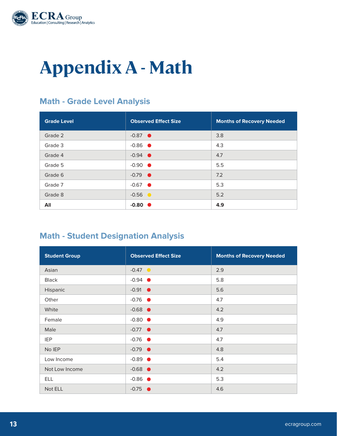

## **Appendix A - Math**

#### **Math - Grade Level Analysis**

| <b>Grade Level</b> | <b>Observed Effect Size</b> | <b>Months of Recovery Needed</b> |
|--------------------|-----------------------------|----------------------------------|
| Grade 2            | $-0.87$ $\bullet$           | 3.8                              |
| Grade 3            | $-0.86$ $\bullet$           | 4.3                              |
| Grade 4            | $-0.94$ $\bullet$           | 4.7                              |
| Grade 5            | $-0.90$ $\bullet$           | 5.5                              |
| Grade 6            | $-0.79$ $\bullet$           | 7.2                              |
| Grade 7            | $-0.67$ $\bullet$           | 5.3                              |
| Grade 8            | $-0.56$ $\bullet$           | 5.2                              |
| All                | $-0.80$ $\bullet$           | 4.9                              |

#### **Math - Student Designation Analysis**

| <b>Student Group</b> | <b>Observed Effect Size</b> | <b>Months of Recovery Needed</b> |
|----------------------|-----------------------------|----------------------------------|
| Asian                | $-0.47$ $\bullet$           | 2.9                              |
| <b>Black</b>         | $-0.94$ $\bullet$           | 5.8                              |
| Hispanic             | $-0.91$ $\bullet$           | 5.6                              |
| Other                | $-0.76$ $\bullet$           | 4.7                              |
| White                | $-0.68$ $\bullet$           | 4.2                              |
| Female               | $-0.80$ $\bullet$           | 4.9                              |
| Male                 | $-0.77$ $\bullet$           | 4.7                              |
| <b>IEP</b>           | $-0.76$ $\bullet$           | 4.7                              |
| No IEP               | $-0.79$ $\bullet$           | 4.8                              |
| Low Income           | $-0.89$ $\bullet$           | 5.4                              |
| Not Low Income       | $-0.68$ $\bullet$           | 4.2                              |
| <b>ELL</b>           | $-0.86$ $\bullet$           | 5.3                              |
| Not ELL              | $-0.75$ $\bullet$           | 4.6                              |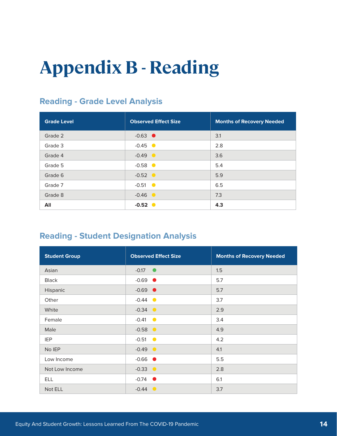## **Appendix B - Reading**

### **Reading - Grade Level Analysis**

| <b>Grade Level</b> | <b>Observed Effect Size</b> | <b>Months of Recovery Needed</b> |
|--------------------|-----------------------------|----------------------------------|
| Grade 2            | $-0.63$ $\bullet$           | 3.1                              |
| Grade 3            | $-0.45$ $\bullet$           | 2.8                              |
| Grade 4            | $-0.49$ $\bullet$           | 3.6                              |
| Grade 5            | $-0.58$ $\bullet$           | 5.4                              |
| Grade 6            | $-0.52$ $\bullet$           | 5.9                              |
| Grade 7            | $-0.51$ $\bullet$           | 6.5                              |
| Grade 8            | $-0.46$ $\bullet$           | 7.3                              |
| All                | $-0.52$ $\bullet$           | 4.3                              |

#### **Reading - Student Designation Analysis**

| <b>Student Group</b> | <b>Observed Effect Size</b> | <b>Months of Recovery Needed</b> |
|----------------------|-----------------------------|----------------------------------|
| Asian                | $-0.17$ $\bullet$           | 1.5                              |
| <b>Black</b>         | $-0.69$ $\bullet$           | 5.7                              |
| Hispanic             | $-0.69$ $\bullet$           | 5.7                              |
| Other                | $-0.44$ $\bullet$           | 3.7                              |
| White                | $-0.34$ $\bullet$           | 2.9                              |
| Female               | $-0.41$ $\bullet$           | 3.4                              |
| Male                 | $-0.58$ $\bullet$           | 4.9                              |
| <b>IEP</b>           | $-0.51$ $\bullet$           | 4.2                              |
| No IEP               | $-0.49$ $\bullet$           | 4.1                              |
| Low Income           | $-0.66$ $\bullet$           | 5.5                              |
| Not Low Income       | $-0.33$ $\bullet$           | 2.8                              |
| <b>ELL</b>           | $-0.74$ $\bullet$           | 6.1                              |
| Not ELL              | $-0.44$ $\bullet$           | 3.7                              |